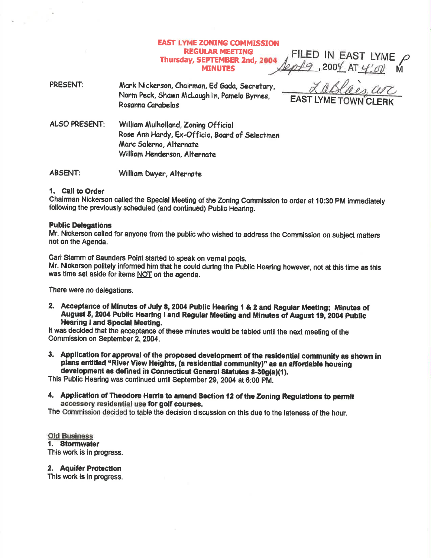# **EAST LYME ZONING COMMISSION REGULAR MEETING** Thursday, SEPTEMBER 2nd, 2004 **MINUTES**

FILED IN EAST LYME  $\rho$ , 200 $\frac{4}{7}$  AT  $\frac{4}{90}$ 

PRESENT: Mark Nickerson, Chairman, Ed Gada, Secretary, Norm Peck, Shawn McLaughlin, Pamela Byrnes, Rosanna Carabelas

ALSO PRESENT: William Mulholland, Zoning Official Rose Ann Hardy, Ex-Officio, Board of Selectmen Marc Salerno, Alternate William Henderson, Alternate

**ABSENT:** William Dwyer, Alternate

## 1. Call to Order

Chairman Nickerson called the Special Meeting of the Zoning Commission to order at 10:30 PM immediately following the previously scheduled (and continued) Public Hearing.

## **Public Delegations**

Mr. Nickerson called for anyone from the public who wished to address the Commission on subject matters not on the Agenda.

Carl Stamm of Saunders Point started to speak on vernal pools.

Mr. Nickerson politely informed him that he could during the Public Hearing however, not at this time as this was time set aside for items NOT on the agenda.

There were no delegations.

2. Acceptance of Minutes of July 8, 2004 Public Hearing 1 & 2 and Regular Meeting; Minutes of August 5, 2004 Public Hearing I and Regular Meeting and Minutes of August 19, 2004 Public **Hearing I and Special Meeting.** 

It was decided that the acceptance of these minutes would be tabled until the next meeting of the Commission on September 2, 2004.

3. Application for approval of the proposed development of the residential community as shown in plans entitled "River View Heights, (a residential community)" as an affordable housing development as defined in Connecticut General Statutes 8-30g(a)(1).

This Public Hearing was continued until September 29, 2004 at 6:00 PM.

4. Application of Theodore Harris to amend Section 12 of the Zoning Regulations to permit accessory residential use for golf courses.

The Commission decided to table the decision discussion on this due to the lateness of the hour.

**Old Business** 1. Stormwater This work is in progress.

2. Aquifer Protection

This work is in progress.